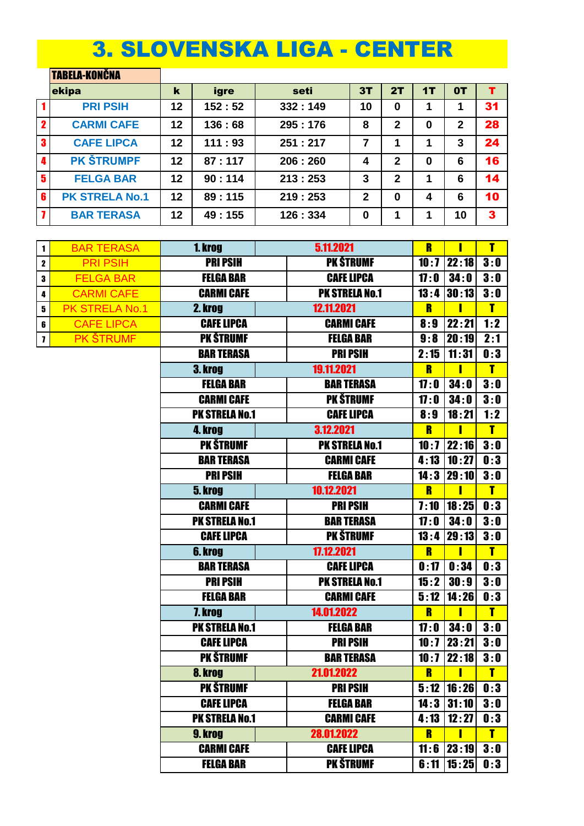## 3. SLOVENSKA LIGA - CENTER

|             | <b>TABELA-KONČNA</b>  |    |        |         |              |              |    |              |    |
|-------------|-----------------------|----|--------|---------|--------------|--------------|----|--------------|----|
|             | ekipa                 | k  | igre   | seti    | 3T           | 2T           | 1Т | 0T           | т  |
|             | <b>PRI PSIH</b>       | 12 | 152:52 | 332:149 | 10           | 0            |    |              | 31 |
| $\mathbf 2$ | <b>CARMI CAFE</b>     | 12 | 136:68 | 295:176 | 8            | $\mathbf{2}$ | 0  | $\mathbf{2}$ | 28 |
| 3           | <b>CAFE LIPCA</b>     | 12 | 111:93 | 251:217 | 7            | 1            | 1  | 3            | 24 |
| 4           | <b>PK STRUMPF</b>     | 12 | 87:117 | 206:260 | 4            | 2            | 0  | 6            | 16 |
| $5^{\circ}$ | <b>FELGA BAR</b>      | 12 | 90:114 | 213:253 | 3            | $\mathbf{2}$ | 1  | 6            | 14 |
| 6           | <b>PK STRELA No.1</b> | 12 | 89:115 | 219:253 | $\mathbf{2}$ | 0            | 4  | 6            | 10 |
|             | <b>BAR TERASA</b>     | 12 | 49:155 | 126:334 | 0            | 1            | 1  | 10           | 3  |

| 1 | <b>BAR TERASA</b> | 1. krog               | 5.11.2021             | R    | Π              | τ            |
|---|-------------------|-----------------------|-----------------------|------|----------------|--------------|
| 2 | <b>PRI PSIH</b>   | <b>PRI PSIH</b>       | <b>PK ŠTRUMF</b>      | 10:7 | 22:18          | 3:0          |
| 3 | <b>FELGA BAR</b>  | <b>FELGA BAR</b>      | <b>CAFE LIPCA</b>     | 17:0 | 34:0           | 3:0          |
| 4 | <b>CARMI CAFE</b> | <b>CARMI CAFE</b>     | <b>PK STRELA No.1</b> |      | $13:4$ 30:13   | 3:0          |
| 5 | PK STRELA No.1    | 2. krog               | 12.11.2021            | R    | Π              | T            |
| 6 | <b>CAFE LIPCA</b> | <b>CAFE LIPCA</b>     | <b>CARMI CAFE</b>     | 8:9  | 22:21          | 1:2          |
| 7 | <b>PK ŠTRUMF</b>  | <b>PK ŠTRUMF</b>      | <b>FELGA BAR</b>      | 9:8  | 20:19          | 2:1          |
|   |                   | <b>BAR TERASA</b>     | <b>PRI PSIH</b>       | 2:15 | 11:31          | 0:3          |
|   |                   | 3. krog               | 19.11.2021            | R    | Π              | T            |
|   |                   | <b>FELGA BAR</b>      | <b>BAR TERASA</b>     | 17:0 | 34:0           | 3:0          |
|   |                   | <b>CARMI CAFE</b>     | <b>PK ŠTRUMF</b>      | 17:0 | 34:0           | 3:0          |
|   |                   | <b>PK STRELA No.1</b> | <b>CAFE LIPCA</b>     | 8:9  | 18:21          | 1:2          |
|   |                   | 4. krog               | 3.12.2021             | R    | П              | $\mathbf{r}$ |
|   |                   | <b>PK ŠTRUMF</b>      | <b>PK STRELA No.1</b> |      | $10:7$   22:16 | 3:0          |
|   |                   | <b>BAR TERASA</b>     | <b>CARMI CAFE</b>     | 4:13 | 10:27          | 0:3          |
|   |                   | <b>PRI PSIH</b>       | <b>FELGA BAR</b>      | 14:3 | 29:10          | 3:0          |
|   |                   | 5. krog               | 10.12.2021            | R    | Π              | T            |
|   |                   | <b>CARMI CAFE</b>     | <b>PRI PSIH</b>       | 7:10 | 18:25          | 0:3          |
|   |                   | <b>PK STRELA No.1</b> | <b>BAR TERASA</b>     | 17:0 | 34:0           | 3:0          |
|   |                   | <b>CAFE LIPCA</b>     | <b>PK ŠTRUMF</b>      | 13:4 | 29:13          | 3:0          |
|   |                   | 6. krog               | 17.12.2021            | R    | Π              | T            |
|   |                   | <b>BAR TERASA</b>     | <b>CAFE LIPCA</b>     | 0:17 | 0:34           | 0:3          |
|   |                   | <b>PRI PSIH</b>       | <b>PK STRELA No.1</b> | 15:2 | 30:9           | 3:0          |
|   |                   | <b>FELGA BAR</b>      | <b>CARMI CAFE</b>     | 5:12 | 14:26          | 0:3          |
|   |                   | 7. krog               | 14.01.2022            | R    | Π              | $\mathbf{r}$ |
|   |                   | <b>PK STRELA No.1</b> | <b>FELGA BAR</b>      | 17:0 | 34:0           | 3:0          |
|   |                   | <b>CAFE LIPCA</b>     | <b>PRI PSIH</b>       | 10:7 | 23:21          | 3:0          |
|   |                   | <b>PK ŠTRUMF</b>      | <b>BAR TERASA</b>     | 10:7 | 22:18          | 3:0          |
|   |                   | 8. krog               | 21.01.2022            | R    | Ι              | T            |
|   |                   | <b>PK ŠTRUMF</b>      | <b>PRI PSIH</b>       |      | $5:12$   16:26 | 0:3          |
|   |                   | <b>CAFE LIPCA</b>     | <b>FELGA BAR</b>      |      | $14:3$ 31:10   | 3:0          |
|   |                   | <b>PK STRELA No.1</b> | <b>CARMI CAFE</b>     | 4:13 | 12:27          | 0:3          |
|   |                   | 9. krog               | 28.01.2022            | R    | ı              | T            |
|   |                   | <b>CARMI CAFE</b>     | <b>CAFE LIPCA</b>     |      | $11:6$   23:19 | 3:0          |
|   |                   | <b>FELGA BAR</b>      | <b>PK ŠTRUMF</b>      | 6:11 | 15:25          | 0:3          |